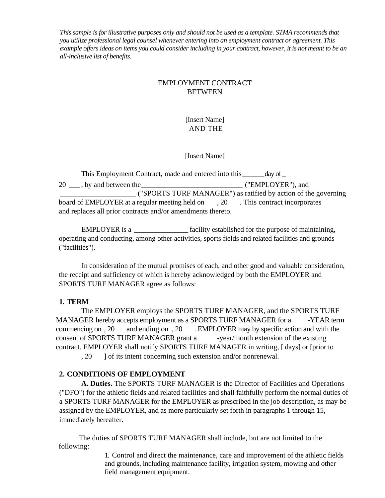*This sample is for illustrative purposes only and should not be used as a template. STMA recommends that you utilize professional legal counsel whenever entering into an employment contract or agreement. This example offers ideas on items you could consider including in your contract, however, it is not meant to be an all-inclusive list of benefits.*

# EMPLOYMENT CONTRACT **BETWEEN**

[Insert Name] AND THE

## [Insert Name]

| This Employment Contract, made and entered into this _______ day of _          |                                                                |
|--------------------------------------------------------------------------------|----------------------------------------------------------------|
| 20 ____, by and between the                                                    | ("EMPLOYER"), and                                              |
|                                                                                | ("SPORTS TURF MANAGER") as ratified by action of the governing |
| board of EMPLOYER at a regular meeting held on . 20 This contract incorporates |                                                                |
| and replaces all prior contracts and/or amendments thereto.                    |                                                                |

EMPLOYER is a  $\qquad \qquad$  facility established for the purpose of maintaining, operating and conducting, among other activities, sports fields and related facilities and grounds ("facilities").

In consideration of the mutual promises of each, and other good and valuable consideration, the receipt and sufficiency of which is hereby acknowledged by both the EMPLOYER and SPORTS TURF MANAGER agree as follows:

## **1. TERM**

 The EMPLOYER employs the SPORTS TURF MANAGER, and the SPORTS TURF MANAGER hereby accepts employment as a SPORTS TURF MANAGER for a -YEAR term commencing on , 20 and ending on , 20 . EMPLOYER may by specific action and with the consent of SPORTS TURF MANAGER grant a -year/month extension of the existing contract. EMPLOYER shall notify SPORTS TURF MANAGER in writing, [ days] or [prior to

, 20 ] of its intent concerning such extension and/or nonrenewal.

# **2. CONDITIONS OF EMPLOYMENT**

**A. Duties.** The SPORTS TURF MANAGER is the Director of Facilities and Operations ("DFO") for the athletic fields and related facilities and shall faithfully perform the normal duties of a SPORTS TURF MANAGER for the EMPLOYER as prescribed in the job description, as may be assigned by the EMPLOYER, and as more particularly set forth in paragraphs 1 through 15, immediately hereafter.

The duties of SPORTS TURF MANAGER shall include, but are not limited to the following:

> 1. Control and direct the maintenance, care and improvement of the athletic fields and grounds, including maintenance facility, irrigation system, mowing and other field management equipment.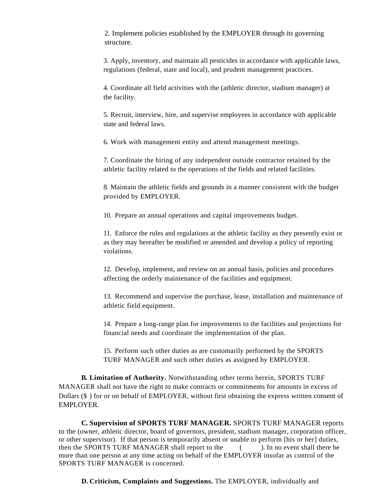2. Implement policies established by the EMPLOYER through its governing structure.

3. Apply, inventory, and maintain all pesticides in accordance with applicable laws, regulations (federal, state and local), and prudent management practices.

4. Coordinate all field activities with the (athletic director, stadium manager) at the facility.

5. Recruit, interview, hire, and supervise employees in accordance with applicable state and federal laws.

6. Work with management entity and attend management meetings.

7. Coordinate the hiring of any independent outside contractor retained by the athletic facility related to the operations of the fields and related facilities.

8. Maintain the athletic fields and grounds in a manner consistent with the budget provided by EMPLOYER.

10. Prepare an annual operations and capital improvements budget.

11. Enforce the rules and regulations at the athletic facility as they presently exist or as they may hereafter be modified or amended and develop a policy of reporting violations.

12. Develop, implement, and review on an annual basis, policies and procedures affecting the orderly maintenance of the facilities and equipment.

13. Recommend and supervise the purchase, lease, installation and maintenance of athletic field equipment.

14. Prepare a long-range plan for improvements to the facilities and projections for financial needs and coordinate the implementation of the plan.

15. Perform such other duties as are customarily performed by the SPORTS TURF MANAGER and such other duties as assigned by EMPLOYER.

**B. Limitation of Authority.** Notwithstanding other terms herein, SPORTS TURF MANAGER shall not have the right to make contracts or commitments for amounts in excess of Dollars (\$ ) for or on behalf of EMPLOYER, without first obtaining the express written consent of EMPLOYER.

**C. Supervision of SPORTS TURF MANAGER.** SPORTS TURF MANAGER reports to the (owner, athletic director, board of governors, president, stadium manager, corporation officer, or other supervisor). If that person is temporarily absent or unable to perform [his or her] duties, then the SPORTS TURF MANAGER shall report to the ( ). In no event shall there be more than one person at any time acting on behalf of the EMPLOYER insofar as control of the SPORTS TURF MANAGER is concerned.

**D. Criticism, Complaints and Suggestions.** The EMPLOYER, individually and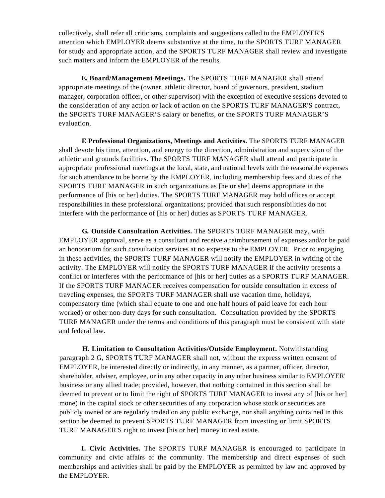collectively, shall refer all criticisms, complaints and suggestions called to the EMPLOYER'S attention which EMPLOYER deems substantive at the time, to the SPORTS TURF MANAGER for study and appropriate action, and the SPORTS TURF MANAGER shall review and investigate such matters and inform the EMPLOYER of the results.

**E. Board/Management Meetings.** The SPORTS TURF MANAGER shall attend appropriate meetings of the (owner, athletic director, board of governors, president, stadium manager, corporation officer, or other supervisor) with the exception of executive sessions devoted to the consideration of any action or lack of action on the SPORTS TURF MANAGER'S contract, the SPORTS TURF MANAGER'S salary or benefits, or the SPORTS TURF MANAGER'S evaluation.

**F. Professional Organizations, Meetings and Activities.** The SPORTS TURF MANAGER shall devote his time, attention, and energy to the direction, administration and supervision of the athletic and grounds facilities. The SPORTS TURF MANAGER shall attend and participate in appropriate professional meetings at the local, state, and national levels with the reasonable expenses for such attendance to be borne by the EMPLOYER, including membership fees and dues of the SPORTS TURF MANAGER in such organizations as [he or she] deems appropriate in the performance of [his or her] duties. The SPORTS TURF MANAGER may hold offices or accept responsibilities in these professional organizations; provided that such responsibilities do not interfere with the performance of [his or her] duties as SPORTS TURF MANAGER.

**G. Outside Consultation Activities.** The SPORTS TURF MANAGER may, with EMPLOYER approval, serve as a consultant and receive a reimbursement of expenses and/or be paid an honorarium for such consultation services at no expense to the EMPLOYER. Prior to engaging in these activities, the SPORTS TURF MANAGER will notify the EMPLOYER in writing of the activity. The EMPLOYER will notify the SPORTS TURF MANAGER if the activity presents a conflict or interferes with the performance of [his or her] duties as a SPORTS TURF MANAGER. If the SPORTS TURF MANAGER receives compensation for outside consultation in excess of traveling expenses, the SPORTS TURF MANAGER shall use vacation time, holidays, compensatory time (which shall equate to one and one half hours of paid leave for each hour worked) or other non-duty days for such consultation. Consultation provided by the SPORTS TURF MANAGER under the terms and conditions of this paragraph must be consistent with state and federal law.

**H. Limitation to Consultation Activities/Outside Employment.** Notwithstanding paragraph 2 G, SPORTS TURF MANAGER shall not, without the express written consent of EMPLOYER, be interested directly or indirectly, in any manner, as a partner, officer, director, shareholder, adviser, employee, or in any other capacity in any other business similar to EMPLOYER' business or any allied trade; provided, however, that nothing contained in this section shall be deemed to prevent or to limit the right of SPORTS TURF MANAGER to invest any of [his or her] mone) in the capital stock or other securities of any corporation whose stock or securities are publicly owned or are regularly traded on any public exchange, nor shall anything contained in this section be deemed to prevent SPORTS TURF MANAGER from investing or limit SPORTS TURF MANAGER'S right to invest [his or her] money in real estate.

**I. Civic Activities.** The SPORTS TURF MANAGER is encouraged to participate in community and civic affairs of the community. The membership and direct expenses of such memberships and activities shall be paid by the EMPLOYER as permitted by law and approved by the EMPLOYER.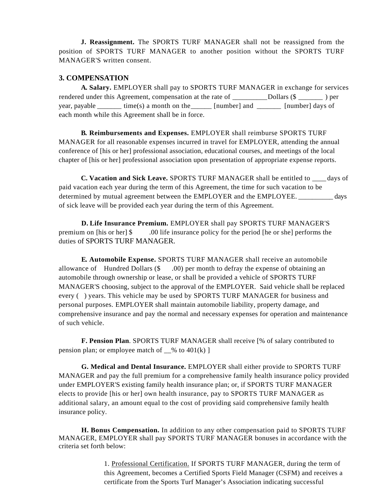**J. Reassignment.** The SPORTS TURF MANAGER shall not be reassigned from the position of SPORTS TURF MANAGER to another position without the SPORTS TURF MANAGER'S written consent.

### **3. COMPENSATION**

**A. Salary.** EMPLOYER shall pay to SPORTS TURF MANAGER in exchange for services rendered under this Agreement, compensation at the rate of \_\_\_\_\_\_\_\_\_\_ Dollars (\$ \_\_\_\_\_\_\_ ) per year, payable  $\qquad \qquad \text{time}(s)$  a month on the  $\qquad \qquad \text{[number]}$  and  $\qquad \qquad \text{[number]}$  days of each month while this Agreement shall be in force.

**B. Reimbursements and Expenses.** EMPLOYER shall reimburse SPORTS TURF MANAGER for all reasonable expenses incurred in travel for EMPLOYER, attending the annual conference of [his or her] professional association, educational courses, and meetings of the local chapter of [his or her] professional association upon presentation of appropriate expense reports.

**C. Vacation and Sick Leave.** SPORTS TURF MANAGER shall be entitled to \_\_\_\_ days of paid vacation each year during the term of this Agreement, the time for such vacation to be determined by mutual agreement between the EMPLOYER and the EMPLOYEE.  $_{\text{days}}$ of sick leave will be provided each year during the term of this Agreement.

**D. Life Insurance Premium.** EMPLOYER shall pay SPORTS TURF MANAGER'S premium on [his or her] \$ .00 life insurance policy for the period [he or she] performs the duties of SPORTS TURF MANAGER.

**E. Automobile Expense.** SPORTS TURF MANAGER shall receive an automobile allowance of Hundred Dollars  $(\$$  . 00) per month to defray the expense of obtaining an automobile through ownership or lease, or shall be provided a vehicle of SPORTS TURF MANAGER'S choosing, subject to the approval of the EMPLOYER. Said vehicle shall be replaced every () years. This vehicle may be used by SPORTS TURF MANAGER for business and personal purposes. EMPLOYER shall maintain automobile liability, property damage, and comprehensive insurance and pay the normal and necessary expenses for operation and maintenance of such vehicle.

**F. Pension Plan**. SPORTS TURF MANAGER shall receive [% of salary contributed to pension plan; or employee match of  $\%$  to 401(k) ]

**G. Medical and Dental Insurance.** EMPLOYER shall either provide to SPORTS TURF MANAGER and pay the full premium for a comprehensive family health insurance policy provided under EMPLOYER'S existing family health insurance plan; or, if SPORTS TURF MANAGER elects to provide [his or her] own health insurance, pay to SPORTS TURF MANAGER as additional salary, an amount equal to the cost of providing said comprehensive family health insurance policy.

**H. Bonus Compensation.** In addition to any other compensation paid to SPORTS TURF MANAGER, EMPLOYER shall pay SPORTS TURF MANAGER bonuses in accordance with the criteria set forth below:

> 1. Professional Certification. If SPORTS TURF MANAGER, during the term of this Agreement, becomes a Certified Sports Field Manager (CSFM) and receives a certificate from the Sports Turf Manager's Association indicating successful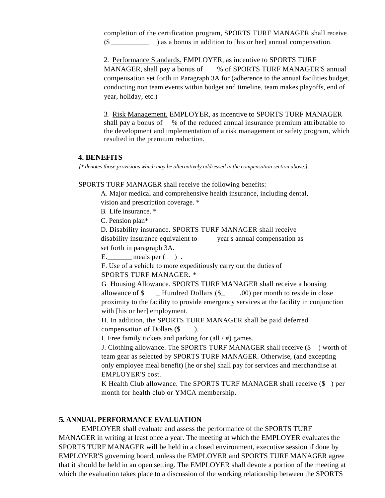completion of the certification program, SPORTS TURF MANAGER shall receive (\$ \_\_\_\_\_\_\_\_\_\_\_ ) as a bonus in addition to [his or her] annual compensation.

2. Performance Standards. EMPLOYER, as incentive to SPORTS TURF MANAGER, shall pay a bonus of % of SPORTS TURF MANAGER'S annual compensation set forth in Paragraph 3A for (adherence to the annual facilities budget, conducting non team events within budget and timeline, team makes playoffs, end of year, holiday, etc.)

3. Risk Management. EMPLOYER, as incentive to SPORTS TURF MANAGER shall pay a bonus of % of the reduced annual insurance premium attributable to the development and implementation of a risk management or safety program, which resulted in the premium reduction.

#### **4. BENEFITS**

*[\* denotes those provisions which may be alternatively addressed in the compensation section above.]*

SPORTS TURF MANAGER shall receive the following benefits:

A. Major medical and comprehensive health insurance, including dental, vision and prescription coverage. \*

B. Life insurance. \*

C. Pension plan\*

D. Disability insurance. SPORTS TURF MANAGER shall receive

disability insurance equivalent to year's annual compensation as set forth in paragraph 3A.

 $E.$  meals per  $( )$ .

F. Use of a vehicle to more expeditiously carry out the duties of SPORTS TURF MANAGER. \*

G Housing Allowance. SPORTS TURF MANAGER shall receive a housing allowance of  $\$\$  Hundred Dollars  $(\$\)$  .00) per month to reside in close proximity to the facility to provide emergency services at the facility in conjunction with [his or her] employment.

H. In addition, the SPORTS TURF MANAGER shall be paid deferred compensation of Dollars (\$ ).

I. Free family tickets and parking for (all / #) games.

J. Clothing allowance. The SPORTS TURF MANAGER shall receive (\$ ) worth of team gear as selected by SPORTS TURF MANAGER. Otherwise, (and excepting only employee meal benefit) [he or she] shall pay for services and merchandise at EMPLOYER'S cost.

K Health Club allowance. The SPORTS TURF MANAGER shall receive (\$ ) per month for health club or YMCA membership.

## **5. ANNUAL PERFORMANCE EVALUATION**

EMPLOYER shall evaluate and assess the performance of the SPORTS TURF MANAGER in writing at least once a year. The meeting at which the EMPLOYER evaluates the SPORTS TURF MANAGER will be held in a closed environment, executive session if done by EMPLOYER'S governing board, unless the EMPLOYER and SPORTS TURF MANAGER agree that it should be held in an open setting. The EMPLOYER shall devote a portion of the meeting at which the evaluation takes place to a discussion of the working relationship between the SPORTS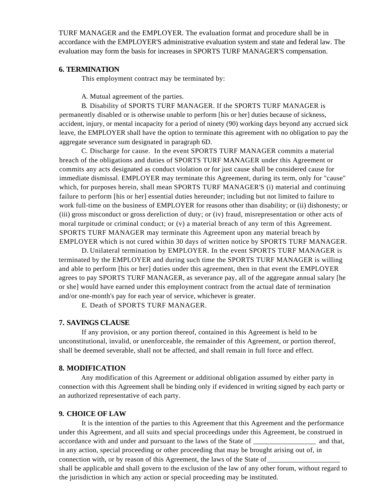TURF MANAGER and the EMPLOYER. The evaluation format and procedure shall be in accordance with the EMPLOYER'S administrative evaluation system and state and federal law. The evaluation may form the basis for increases in SPORTS TURF MANAGER'S compensation.

#### **6. TERMINATION**

This employment contract may be terminated by:

A. Mutual agreement of the parties.

B. Disability of SPORTS TURF MANAGER. If the SPORTS TURF MANAGER is permanently disabled or is otherwise unable to perform [his or her] duties because of sickness, accident, injury, or mental incapacity for a period of ninety (90) working days beyond any accrued sick leave, the EMPLOYER shall have the option to terminate this agreement with no obligation to pay the aggregate severance sum designated in paragraph 6D.

C. Discharge for cause. In the event SPORTS TURF MANAGER commits a material breach of the obligations and duties of SPORTS TURF MANAGER under this Agreement or commits any acts designated as conduct violation or for just cause shall be considered cause for immediate dismissal. EMPLOYER may terminate this Agreement, during its term, only for "cause" which, for purposes herein, shall mean SPORTS TURF MANAGER'S (i) material and continuing failure to perform [his or her] essential duties hereunder; including but not limited to failure to work full-time on the business of EMPLOYER for reasons other than disability; or (ii) dishonesty; or (iii) gross misconduct or gross dereliction of duty; or (iv) fraud, misrepresentation or other acts of moral turpitude or criminal conduct; or (v) a material breach of any term of this Agreement. SPORTS TURF MANAGER may terminate this Agreement upon any material breach by EMPLOYER which is not cured within 30 days of written notice by SPORTS TURF MANAGER.

D. Unilateral termination by EMPLOYER. In the event SPORTS TURF MANAGER is terminated by the EMPLOYER and during such time the SPORTS TURF MANAGER is willing and able to perform [his or her] duties under this agreement, then in that event the EMPLOYER agrees to pay SPORTS TURF MANAGER, as severance pay, all of the aggregate annual salary [he or she] would have earned under this employment contract from the actual date of termination and/or one-month's pay for each year of service, whichever is greater.

E. Death of SPORTS TURF MANAGER.

#### **7. SAVINGS CLAUSE**

If any provision, or any portion thereof, contained in this Agreement is held to be unconstitutional, invalid, or unenforceable, the remainder of this Agreement, or portion thereof, shall be deemed severable, shall not be affected, and shall remain in full force and effect.

#### **8. MODIFICATION**

Any modification of this Agreement or additional obligation assumed by either party in connection with this Agreement shall be binding only if evidenced in writing signed by each party or an authorized representative of each party.

#### **9. CHOICE OF LAW**

It is the intention of the parties to this Agreement that this Agreement and the performance under this Agreement, and all suits and special proceedings under this Agreement, be construed in accordance with and under and pursuant to the laws of the State of and that, in any action, special proceeding or other proceeding that may be brought arising out of, in connection with, or by reason of this Agreement, the laws of the State of shall be applicable and shall govern to the exclusion of the law of any other forum, without regard to the jurisdiction in which any action or special proceeding may be instituted.